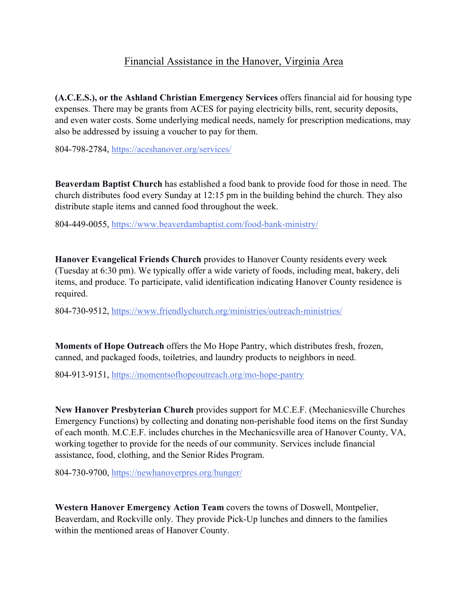## Financial Assistance in the Hanover, Virginia Area

**(A.C.E.S.), or the Ashland Christian Emergency Services** offers financial aid for housing type expenses. There may be grants from ACES for paying electricity bills, rent, security deposits, and even water costs. Some underlying medical needs, namely for prescription medications, may also be addressed by issuing a voucher to pay for them.

804-798-2784, https://aceshanover.org/services/

**Beaverdam Baptist Church** has established a food bank to provide food for those in need. The church distributes food every Sunday at 12:15 pm in the building behind the church. They also distribute staple items and canned food throughout the week.

804-449-0055, https://www.beaverdambaptist.com/food-bank-ministry/

**Hanover Evangelical Friends Church** provides to Hanover County residents every week (Tuesday at 6:30 pm). We typically offer a wide variety of foods, including meat, bakery, deli items, and produce. To participate, valid identification indicating Hanover County residence is required.

804-730-9512, https://www.friendlychurch.org/ministries/outreach-ministries/

**Moments of Hope Outreach** offers the Mo Hope Pantry, which distributes fresh, frozen, canned, and packaged foods, toiletries, and laundry products to neighbors in need.

804-913-9151, https://momentsofhopeoutreach.org/mo-hope-pantry

**New Hanover Presbyterian Church** provides support for M.C.E.F. (Mechanicsville Churches Emergency Functions) by collecting and donating non-perishable food items on the first Sunday of each month. M.C.E.F. includes churches in the Mechanicsville area of Hanover County, VA, working together to provide for the needs of our community. Services include financial assistance, food, clothing, and the Senior Rides Program.

804-730-9700, https://newhanoverpres.org/hunger/

**Western Hanover Emergency Action Team** covers the towns of Doswell, Montpelier, Beaverdam, and Rockville only. They provide Pick-Up lunches and dinners to the families within the mentioned areas of Hanover County.